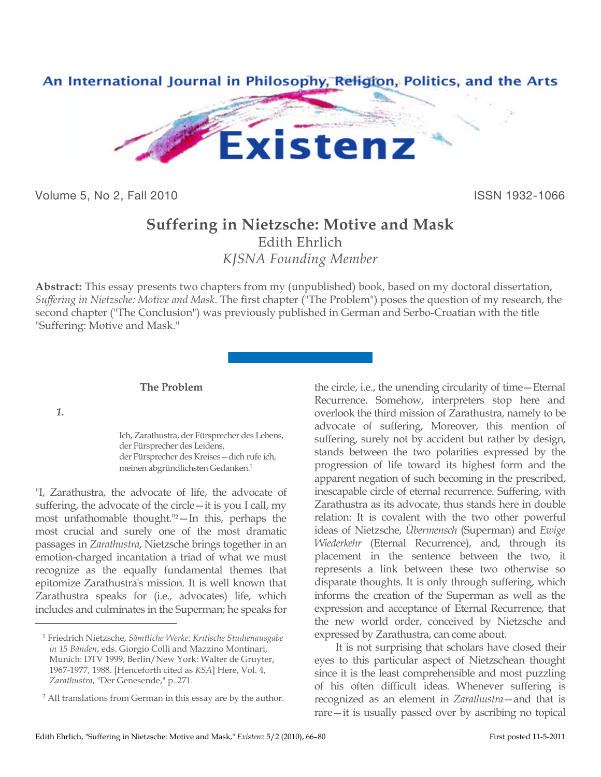

Volume 5, No 2, Fall 2010 **ISSN 1932-1066** 

# **Suffering in Nietzsche: Motive and Mask**

Edith Ehrlich *KJSNA Founding Member*

**Abstract:** This essay presents two chapters from my (unpublished) book, based on my doctoral dissertation, *Suffering in Nietzsche: Motive and Mask*. The first chapter ("The Problem") poses the question of my research, the second chapter ("The Conclusion") was previously published in German and Serbo-Croatian with the title "Suffering: Motive and Mask."

### **The Problem**

*1.*

 $\overline{a}$ 

Ich, Zarathustra, der Fürsprecher des Lebens, der Fürsprecher des Leidens, der Fürsprecher des Kreises—dich rufe ich, meinen abgründlichsten Gedanken.1

"I, Zarathustra, the advocate of life, the advocate of suffering, the advocate of the circle—it is you I call, my most unfathomable thought."2—In this, perhaps the most crucial and surely one of the most dramatic passages in *Zarathustra*, Nietzsche brings together in an emotion-charged incantation a triad of what we must recognize as the equally fundamental themes that epitomize Zarathustra's mission. It is well known that Zarathustra speaks for (i.e., advocates) life, which includes and culminates in the Superman; he speaks for the circle, i.e., the unending circularity of time—Eternal Recurrence. Somehow, interpreters stop here and overlook the third mission of Zarathustra, namely to be advocate of suffering, Moreover, this mention of suffering, surely not by accident but rather by design, stands between the two polarities expressed by the progression of life toward its highest form and the apparent negation of such becoming in the prescribed, inescapable circle of eternal recurrence. Suffering, with Zarathustra as its advocate, thus stands here in double relation: It is covalent with the two other powerful ideas of Nietzsche, *Übermensch* (Superman) and *Ewige Wiederkehr* (Eternal Recurrence), and, through its placement in the sentence between the two, it represents a link between these two otherwise so disparate thoughts. It is only through suffering, which informs the creation of the Superman as well as the expression and acceptance of Eternal Recurrence, that the new world order, conceived by Nietzsche and expressed by Zarathustra, can come about.

It is not surprising that scholars have closed their eyes to this particular aspect of Nietzschean thought since it is the least comprehensible and most puzzling of his often difficult ideas. Whenever suffering is recognized as an element in *Zarathustra*—and that is rare—it is usually passed over by ascribing no topical

<sup>1</sup> Friedrich Nietzsche, *Sämtliche Werke: Kritische Studienausgabe in 15 Bänden*, eds. Giorgio Colli and Mazzino Montinari, Munich: DTV 1999, Berlin/New York: Walter de Gruyter, 1967-1977, 1988. [Henceforth cited as *KSA*] Here, Vol. 4, *Zarathustra*, "Der Genesende," p. 271.

<sup>2</sup> All translations from German in this essay are by the author.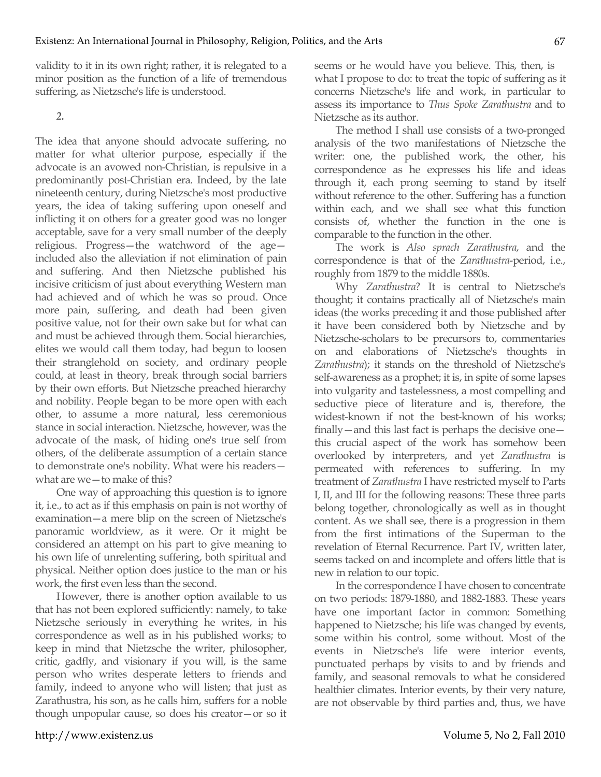validity to it in its own right; rather, it is relegated to a minor position as the function of a life of tremendous suffering, as Nietzsche's life is understood.

*2.*

The idea that anyone should advocate suffering, no matter for what ulterior purpose, especially if the advocate is an avowed non-Christian, is repulsive in a predominantly post-Christian era. Indeed, by the late nineteenth century, during Nietzsche's most productive years, the idea of taking suffering upon oneself and inflicting it on others for a greater good was no longer acceptable, save for a very small number of the deeply religious. Progress—the watchword of the age included also the alleviation if not elimination of pain and suffering. And then Nietzsche published his incisive criticism of just about everything Western man had achieved and of which he was so proud. Once more pain, suffering, and death had been given positive value, not for their own sake but for what can and must be achieved through them. Social hierarchies, elites we would call them today, had begun to loosen their stranglehold on society, and ordinary people could, at least in theory, break through social barriers by their own efforts. But Nietzsche preached hierarchy and nobility. People began to be more open with each other, to assume a more natural, less ceremonious stance in social interaction. Nietzsche, however, was the advocate of the mask, of hiding one's true self from others, of the deliberate assumption of a certain stance to demonstrate one's nobility. What were his readers what are we—to make of this?

One way of approaching this question is to ignore it, i.e., to act as if this emphasis on pain is not worthy of examination—a mere blip on the screen of Nietzsche's panoramic worldview, as it were. Or it might be considered an attempt on his part to give meaning to his own life of unrelenting suffering, both spiritual and physical. Neither option does justice to the man or his work, the first even less than the second.

However, there is another option available to us that has not been explored sufficiently: namely, to take Nietzsche seriously in everything he writes, in his correspondence as well as in his published works; to keep in mind that Nietzsche the writer, philosopher, critic, gadfly, and visionary if you will, is the same person who writes desperate letters to friends and family, indeed to anyone who will listen; that just as Zarathustra, his son, as he calls him, suffers for a noble though unpopular cause, so does his creator—or so it

seems or he would have you believe. This, then, is what I propose to do: to treat the topic of suffering as it concerns Nietzsche's life and work, in particular to assess its importance to *Thus Spoke Zarathustra* and to Nietzsche as its author.

The method I shall use consists of a two-pronged analysis of the two manifestations of Nietzsche the writer: one, the published work, the other, his correspondence as he expresses his life and ideas through it, each prong seeming to stand by itself without reference to the other. Suffering has a function within each, and we shall see what this function consists of, whether the function in the one is comparable to the function in the other.

The work is *Also sprach Zarathustra*, and the correspondence is that of the *Zarathustra*-period, i.e., roughly from 1879 to the middle 1880s.

Why *Zarathustra*? It is central to Nietzsche's thought; it contains practically all of Nietzsche's main ideas (the works preceding it and those published after it have been considered both by Nietzsche and by Nietzsche-scholars to be precursors to, commentaries on and elaborations of Nietzsche's thoughts in *Zarathustra*); it stands on the threshold of Nietzsche's self-awareness as a prophet; it is, in spite of some lapses into vulgarity and tastelessness, a most compelling and seductive piece of literature and is, therefore, the widest-known if not the best-known of his works; finally—and this last fact is perhaps the decisive one this crucial aspect of the work has somehow been overlooked by interpreters, and yet *Zarathustra* is permeated with references to suffering. In my treatment of *Zarathustra* I have restricted myself to Parts I, II, and III for the following reasons: These three parts belong together, chronologically as well as in thought content. As we shall see, there is a progression in them from the first intimations of the Superman to the revelation of Eternal Recurrence. Part IV, written later, seems tacked on and incomplete and offers little that is new in relation to our topic.

In the correspondence I have chosen to concentrate on two periods: 1879-1880, and 1882-1883. These years have one important factor in common: Something happened to Nietzsche; his life was changed by events, some within his control, some without. Most of the events in Nietzsche's life were interior events, punctuated perhaps by visits to and by friends and family, and seasonal removals to what he considered healthier climates. Interior events, by their very nature, are not observable by third parties and, thus, we have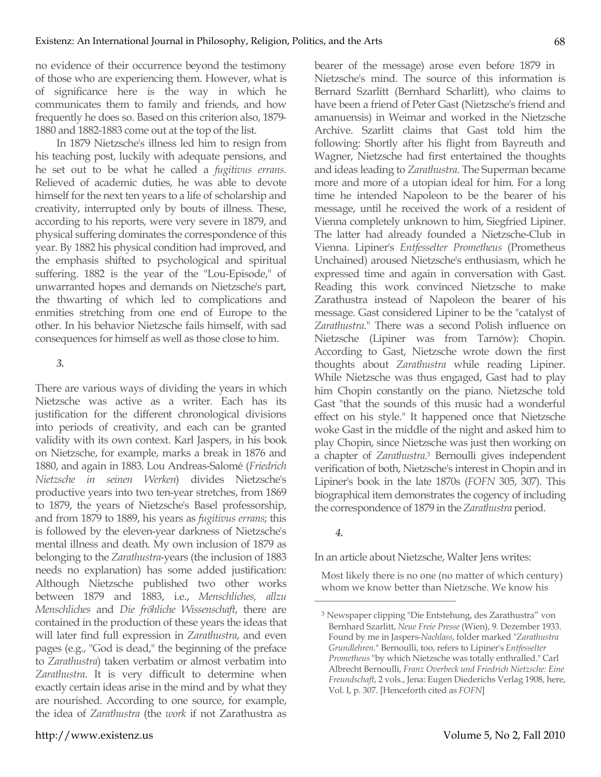no evidence of their occurrence beyond the testimony of those who are experiencing them. However, what is of significance here is the way in which he communicates them to family and friends, and how frequently he does so. Based on this criterion also, 1879- 1880 and 1882-1883 come out at the top of the list.

In 1879 Nietzsche's illness led him to resign from his teaching post, luckily with adequate pensions, and he set out to be what he called a *fugitivus errans*. Relieved of academic duties, he was able to devote himself for the next ten years to a life of scholarship and creativity, interrupted only by bouts of illness. These, according to his reports, were very severe in 1879, and physical suffering dominates the correspondence of this year. By 1882 his physical condition had improved, and the emphasis shifted to psychological and spiritual suffering. 1882 is the year of the "Lou-Episode," of unwarranted hopes and demands on Nietzsche's part, the thwarting of which led to complications and enmities stretching from one end of Europe to the other. In his behavior Nietzsche fails himself, with sad consequences for himself as well as those close to him.

### *3.*

There are various ways of dividing the years in which Nietzsche was active as a writer. Each has its justification for the different chronological divisions into periods of creativity, and each can be granted validity with its own context. Karl Jaspers, in his book on Nietzsche, for example, marks a break in 1876 and 1880, and again in 1883. Lou Andreas-Salomé (*Friedrich Nietzsche in seinen Werken*) divides Nietzsche's productive years into two ten-year stretches, from 1869 to 1879, the years of Nietzsche's Basel professorship, and from 1879 to 1889, his years as *fugitivus errans*; this is followed by the eleven-year darkness of Nietzsche's mental illness and death. My own inclusion of 1879 as belonging to the *Zarathustra*-years (the inclusion of 1883 needs no explanation) has some added justification: Although Nietzsche published two other works between 1879 and 1883, i.e., *Menschliches, allzu Menschliches* and *Die fröhliche Wissenschaft*, there are contained in the production of these years the ideas that will later find full expression in *Zarathustra*, and even pages (e.g., "God is dead," the beginning of the preface to *Zarathustra*) taken verbatim or almost verbatim into *Zarathustra*. It is very difficult to determine when exactly certain ideas arise in the mind and by what they are nourished. According to one source, for example, the idea of *Zarathustra* (the *work* if not Zarathustra as bearer of the message) arose even before 1879 in Nietzsche's mind. The source of this information is Bernard Szarlitt (Bernhard Scharlitt), who claims to have been a friend of Peter Gast (Nietzsche's friend and amanuensis) in Weimar and worked in the Nietzsche Archive. Szarlitt claims that Gast told him the following: Shortly after his flight from Bayreuth and Wagner, Nietzsche had first entertained the thoughts and ideas leading to *Zarathustra*. The Superman became more and more of a utopian ideal for him. For a long time he intended Napoleon to be the bearer of his message, until he received the work of a resident of Vienna completely unknown to him, Siegfried Lipiner. The latter had already founded a Nietzsche-Club in Vienna. Lipiner's *Entfesselter Prometheus* (Prometheus Unchained) aroused Nietzsche's enthusiasm, which he expressed time and again in conversation with Gast. Reading this work convinced Nietzsche to make Zarathustra instead of Napoleon the bearer of his message. Gast considered Lipiner to be the "catalyst of *Zarathustra*." There was a second Polish influence on Nietzsche (Lipiner was from Tarnów): Chopin. According to Gast, Nietzsche wrote down the first thoughts about *Zarathustra* while reading Lipiner. While Nietzsche was thus engaged, Gast had to play him Chopin constantly on the piano. Nietzsche told Gast "that the sounds of this music had a wonderful effect on his style." It happened once that Nietzsche woke Gast in the middle of the night and asked him to play Chopin, since Nietzsche was just then working on a chapter of *Zarathustra*. 3 Bernoulli gives independent verification of both, Nietzsche's interest in Chopin and in Lipiner's book in the late 1870s (*FOFN* 305, 307). This biographical item demonstrates the cogency of including the correspondence of 1879 in the *Zarathustra* period.

# *4.*

 $\overline{a}$ 

In an article about Nietzsche, Walter Jens writes:

Most likely there is no one (no matter of which century) whom we know better than Nietzsche. We know his

<sup>3</sup> Newspaper clipping "Die Entstehung, des Zarathustra" von Bernhard Szarlitt, *Neue Freie Presse* (Wien), 9. Dezember 1933. Found by me in Jaspers-*Nachlass*, folder marked "*Zarathustra Grundlehren*." Bernoulli, too, refers to Lipiner's *Entfesselter Prometheus* "by which Nietzsche was totally enthralled." Carl Albrecht Bernoulli, *Franz Overbeck und Friedrich Nietzsche: Eine Freundschaft*, 2 vols., Jena: Eugen Diederichs Verlag 1908, here, Vol. I, p. 307. [Henceforth cited as *FOFN*]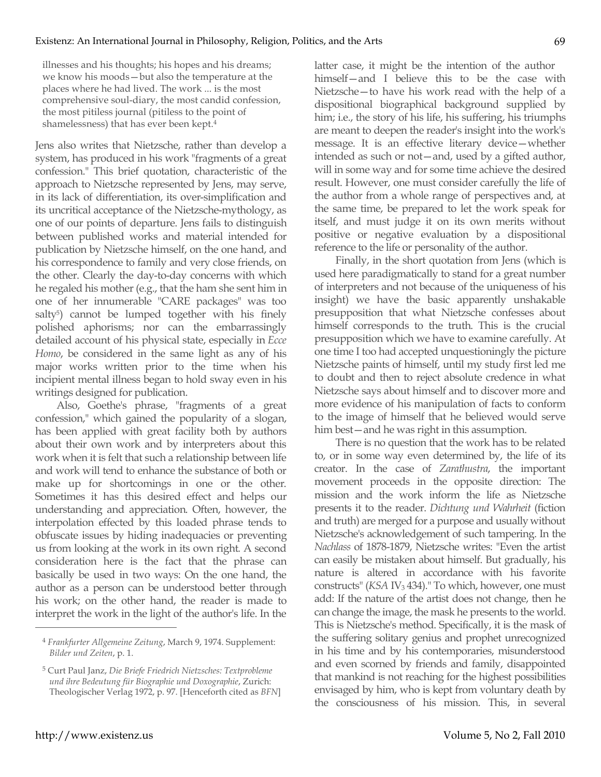illnesses and his thoughts; his hopes and his dreams; we know his moods—but also the temperature at the places where he had lived. The work ... is the most comprehensive soul-diary, the most candid confession, the most pitiless journal (pitiless to the point of shamelessness) that has ever been kept.4

Jens also writes that Nietzsche, rather than develop a system, has produced in his work "fragments of a great confession." This brief quotation, characteristic of the approach to Nietzsche represented by Jens, may serve, in its lack of differentiation, its over-simplification and its uncritical acceptance of the Nietzsche-mythology, as one of our points of departure. Jens fails to distinguish between published works and material intended for publication by Nietzsche himself, on the one hand, and his correspondence to family and very close friends, on the other. Clearly the day-to-day concerns with which he regaled his mother (e.g., that the ham she sent him in one of her innumerable "CARE packages" was too salty<sup>5</sup>) cannot be lumped together with his finely polished aphorisms; nor can the embarrassingly detailed account of his physical state, especially in *Ecce Homo*, be considered in the same light as any of his major works written prior to the time when his incipient mental illness began to hold sway even in his writings designed for publication.

Also, Goethe's phrase, "fragments of a great confession," which gained the popularity of a slogan, has been applied with great facility both by authors about their own work and by interpreters about this work when it is felt that such a relationship between life and work will tend to enhance the substance of both or make up for shortcomings in one or the other. Sometimes it has this desired effect and helps our understanding and appreciation. Often, however, the interpolation effected by this loaded phrase tends to obfuscate issues by hiding inadequacies or preventing us from looking at the work in its own right. A second consideration here is the fact that the phrase can basically be used in two ways: On the one hand, the author as a person can be understood better through his work; on the other hand, the reader is made to interpret the work in the light of the author's life. In the

latter case, it might be the intention of the author himself—and I believe this to be the case with Nietzsche—to have his work read with the help of a dispositional biographical background supplied by him; i.e., the story of his life, his suffering, his triumphs are meant to deepen the reader's insight into the work's message. It is an effective literary device—whether intended as such or not—and, used by a gifted author, will in some way and for some time achieve the desired result. However, one must consider carefully the life of the author from a whole range of perspectives and, at the same time, be prepared to let the work speak for itself, and must judge it on its own merits without positive or negative evaluation by a dispositional reference to the life or personality of the author.

Finally, in the short quotation from Jens (which is used here paradigmatically to stand for a great number of interpreters and not because of the uniqueness of his insight) we have the basic apparently unshakable presupposition that what Nietzsche confesses about himself corresponds to the truth. This is the crucial presupposition which we have to examine carefully. At one time I too had accepted unquestioningly the picture Nietzsche paints of himself, until my study first led me to doubt and then to reject absolute credence in what Nietzsche says about himself and to discover more and more evidence of his manipulation of facts to conform to the image of himself that he believed would serve him best—and he was right in this assumption.

There is no question that the work has to be related to, or in some way even determined by, the life of its creator. In the case of *Zarathustra*, the important movement proceeds in the opposite direction: The mission and the work inform the life as Nietzsche presents it to the reader. *Dichtung und Wahrheit* (fiction and truth) are merged for a purpose and usually without Nietzsche's acknowledgement of such tampering. In the *Nachlass* of 1878-1879, Nietzsche writes: "Even the artist can easily be mistaken about himself. But gradually, his nature is altered in accordance with his favorite constructs" (*KSA IV*<sub>3</sub> 434)." To which, however, one must add: If the nature of the artist does not change, then he can change the image, the mask he presents to the world. This is Nietzsche's method. Specifically, it is the mask of the suffering solitary genius and prophet unrecognized in his time and by his contemporaries, misunderstood and even scorned by friends and family, disappointed that mankind is not reaching for the highest possibilities envisaged by him, who is kept from voluntary death by the consciousness of his mission. This, in several

<sup>4</sup> *Frankfurter Allgemeine Zeitung*, March 9, 1974. Supplement: *Bilder und Zeiten*, p. 1.

<sup>5</sup> Curt Paul Janz, *Die Briefe Friedrich Nietzsches: Textprobleme und ihre Bedeutung für Biographie und Doxographie*, Zurich: Theologischer Verlag 1972, p. 97. [Henceforth cited as *BFN*]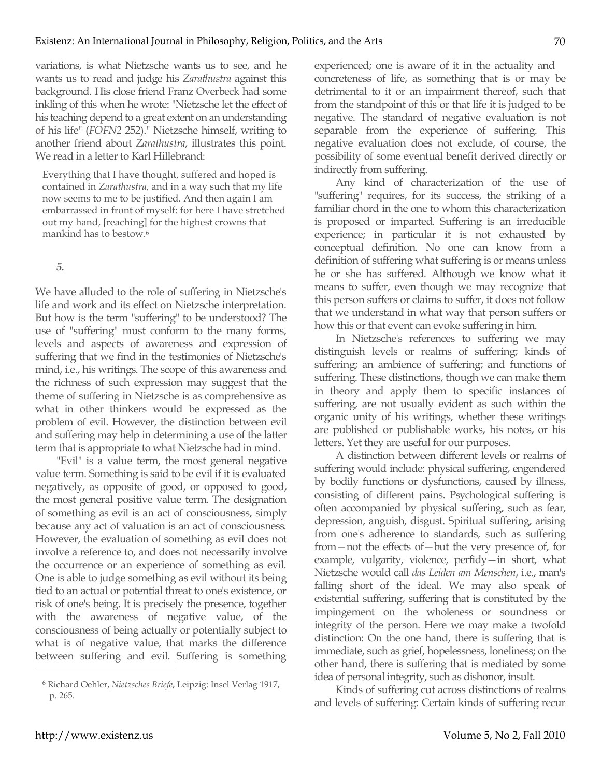variations, is what Nietzsche wants us to see, and he wants us to read and judge his *Zarathustra* against this background. His close friend Franz Overbeck had some inkling of this when he wrote: "Nietzsche let the effect of his teaching depend to a great extent on an understanding of his life" (*FOFN2* 252)." Nietzsche himself, writing to another friend about *Zarathustra*, illustrates this point. We read in a letter to Karl Hillebrand:

Everything that I have thought, suffered and hoped is contained in *Zarathustra,* and in a way such that my life now seems to me to be justified. And then again I am embarrassed in front of myself: for here I have stretched out my hand, [reaching] for the highest crowns that mankind has to bestow.6

# *5.*

We have alluded to the role of suffering in Nietzsche's life and work and its effect on Nietzsche interpretation. But how is the term "suffering" to be understood? The use of "suffering" must conform to the many forms, levels and aspects of awareness and expression of suffering that we find in the testimonies of Nietzsche's mind, i.e., his writings. The scope of this awareness and the richness of such expression may suggest that the theme of suffering in Nietzsche is as comprehensive as what in other thinkers would be expressed as the problem of evil. However, the distinction between evil and suffering may help in determining a use of the latter term that is appropriate to what Nietzsche had in mind.

"Evil" is a value term, the most general negative value term. Something is said to be evil if it is evaluated negatively, as opposite of good, or opposed to good, the most general positive value term. The designation of something as evil is an act of consciousness, simply because any act of valuation is an act of consciousness. However, the evaluation of something as evil does not involve a reference to, and does not necessarily involve the occurrence or an experience of something as evil. One is able to judge something as evil without its being tied to an actual or potential threat to one's existence, or risk of one's being. It is precisely the presence, together with the awareness of negative value, of the consciousness of being actually or potentially subject to what is of negative value, that marks the difference between suffering and evil. Suffering is something experienced; one is aware of it in the actuality and concreteness of life, as something that is or may be detrimental to it or an impairment thereof, such that from the standpoint of this or that life it is judged to be negative. The standard of negative evaluation is not separable from the experience of suffering. This negative evaluation does not exclude, of course, the possibility of some eventual benefit derived directly or indirectly from suffering.

Any kind of characterization of the use of "suffering" requires, for its success, the striking of a familiar chord in the one to whom this characterization is proposed or imparted. Suffering is an irreducible experience; in particular it is not exhausted by conceptual definition. No one can know from a definition of suffering what suffering is or means unless he or she has suffered. Although we know what it means to suffer, even though we may recognize that this person suffers or claims to suffer, it does not follow that we understand in what way that person suffers or how this or that event can evoke suffering in him.

In Nietzsche's references to suffering we may distinguish levels or realms of suffering; kinds of suffering; an ambience of suffering; and functions of suffering. These distinctions, though we can make them in theory and apply them to specific instances of suffering, are not usually evident as such within the organic unity of his writings, whether these writings are published or publishable works, his notes, or his letters. Yet they are useful for our purposes.

A distinction between different levels or realms of suffering would include: physical suffering, engendered by bodily functions or dysfunctions, caused by illness, consisting of different pains. Psychological suffering is often accompanied by physical suffering, such as fear, depression, anguish, disgust. Spiritual suffering, arising from one's adherence to standards, such as suffering from—not the effects of—but the very presence of, for example, vulgarity, violence, perfidy—in short, what Nietzsche would call *das Leiden am Menschen*, i.e., man's falling short of the ideal. We may also speak of existential suffering, suffering that is constituted by the impingement on the wholeness or soundness or integrity of the person. Here we may make a twofold distinction: On the one hand, there is suffering that is immediate, such as grief, hopelessness, loneliness; on the other hand, there is suffering that is mediated by some idea of personal integrity, such as dishonor, insult.

Kinds of suffering cut across distinctions of realms and levels of suffering: Certain kinds of suffering recur

<sup>6</sup> Richard Oehler, *Nietzsches Briefe*, Leipzig: Insel Verlag 1917, p. 265.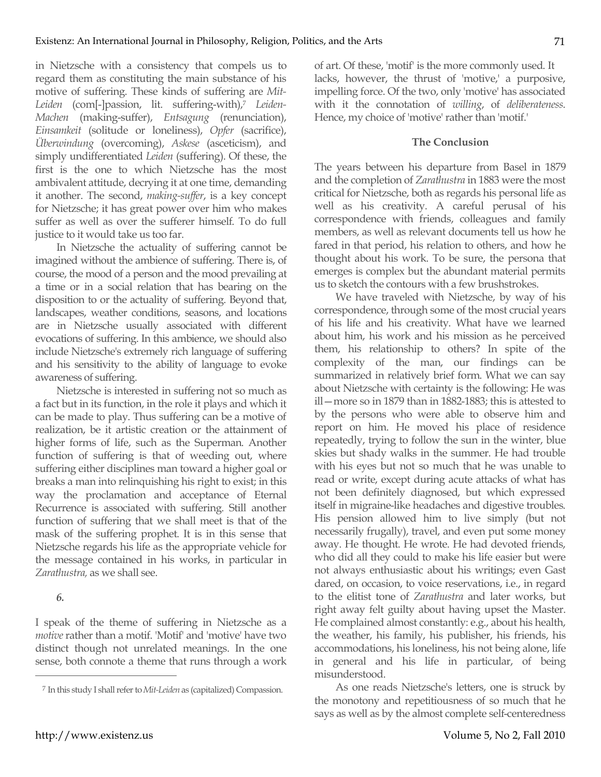in Nietzsche with a consistency that compels us to regard them as constituting the main substance of his motive of suffering. These kinds of suffering are *Mit-Leiden* (com[-]passion, lit. suffering-with), <sup>7</sup> *Leiden-Machen* (making-suffer), *Entsagung* (renunciation), *Einsamkeit* (solitude or loneliness), *Opfer* (sacrifice), *Überwindung* (overcoming), *Askese* (asceticism), and simply undifferentiated *Leiden* (suffering). Of these, the first is the one to which Nietzsche has the most ambivalent attitude, decrying it at one time, demanding it another. The second, *making-suffer*, is a key concept for Nietzsche; it has great power over him who makes suffer as well as over the sufferer himself. To do full justice to it would take us too far.

In Nietzsche the actuality of suffering cannot be imagined without the ambience of suffering. There is, of course, the mood of a person and the mood prevailing at a time or in a social relation that has bearing on the disposition to or the actuality of suffering. Beyond that, landscapes, weather conditions, seasons, and locations are in Nietzsche usually associated with different evocations of suffering. In this ambience, we should also include Nietzsche's extremely rich language of suffering and his sensitivity to the ability of language to evoke awareness of suffering.

Nietzsche is interested in suffering not so much as a fact but in its function, in the role it plays and which it can be made to play. Thus suffering can be a motive of realization, be it artistic creation or the attainment of higher forms of life, such as the Superman. Another function of suffering is that of weeding out, where suffering either disciplines man toward a higher goal or breaks a man into relinquishing his right to exist; in this way the proclamation and acceptance of Eternal Recurrence is associated with suffering. Still another function of suffering that we shall meet is that of the mask of the suffering prophet. It is in this sense that Nietzsche regards his life as the appropriate vehicle for the message contained in his works, in particular in *Zarathustra,* as we shall see.

*6.*

 $\overline{a}$ 

I speak of the theme of suffering in Nietzsche as a *motive* rather than a motif. 'Motif' and 'motive' have two distinct though not unrelated meanings. In the one sense, both connote a theme that runs through a work

of art. Of these, 'motif' is the more commonly used. It lacks, however, the thrust of 'motive,' a purposive, impelling force. Of the two, only 'motive' has associated with it the connotation of *willing*, of *deliberateness*. Hence, my choice of 'motive' rather than 'motif.'

# **The Conclusion**

The years between his departure from Basel in 1879 and the completion of *Zarathustra* in 1883 were the most critical for Nietzsche, both as regards his personal life as well as his creativity. A careful perusal of his correspondence with friends, colleagues and family members, as well as relevant documents tell us how he fared in that period, his relation to others, and how he thought about his work. To be sure, the persona that emerges is complex but the abundant material permits us to sketch the contours with a few brushstrokes.

We have traveled with Nietzsche, by way of his correspondence, through some of the most crucial years of his life and his creativity. What have we learned about him, his work and his mission as he perceived them, his relationship to others? In spite of the complexity of the man, our findings can be summarized in relatively brief form. What we can say about Nietzsche with certainty is the following: He was ill—more so in 1879 than in 1882-1883; this is attested to by the persons who were able to observe him and report on him. He moved his place of residence repeatedly, trying to follow the sun in the winter, blue skies but shady walks in the summer. He had trouble with his eyes but not so much that he was unable to read or write, except during acute attacks of what has not been definitely diagnosed, but which expressed itself in migraine-like headaches and digestive troubles. His pension allowed him to live simply (but not necessarily frugally), travel, and even put some money away. He thought. He wrote. He had devoted friends, who did all they could to make his life easier but were not always enthusiastic about his writings; even Gast dared, on occasion, to voice reservations, i.e., in regard to the elitist tone of *Zarathustra* and later works, but right away felt guilty about having upset the Master. He complained almost constantly: e.g., about his health, the weather, his family, his publisher, his friends, his accommodations, his loneliness, his not being alone, life in general and his life in particular, of being misunderstood.

As one reads Nietzsche's letters, one is struck by the monotony and repetitiousness of so much that he says as well as by the almost complete self-centeredness

<sup>7</sup> In this study I shall refer to *Mit-Leiden* as (capitalized) Compassion.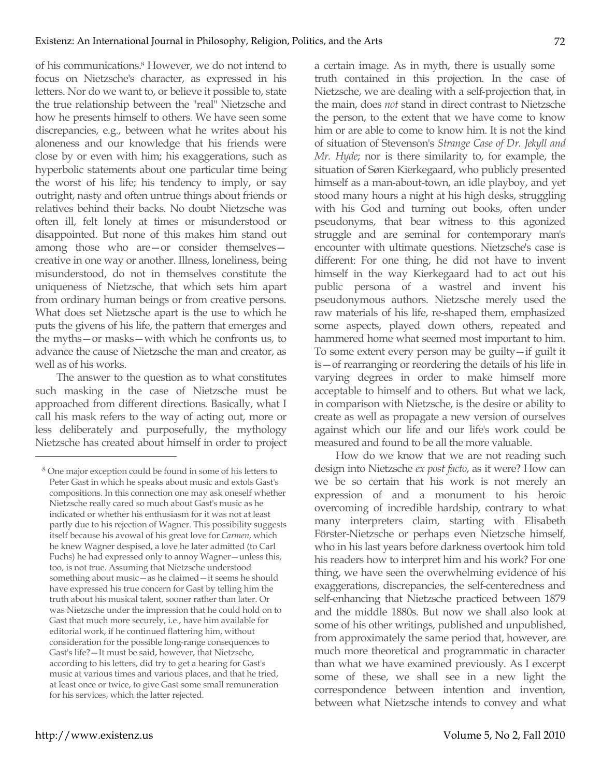of his communications.8 However, we do not intend to focus on Nietzsche's character, as expressed in his letters. Nor do we want to, or believe it possible to, state the true relationship between the "real" Nietzsche and how he presents himself to others. We have seen some discrepancies, e.g., between what he writes about his aloneness and our knowledge that his friends were close by or even with him; his exaggerations, such as hyperbolic statements about one particular time being the worst of his life; his tendency to imply, or say outright, nasty and often untrue things about friends or relatives behind their backs. No doubt Nietzsche was often ill, felt lonely at times or misunderstood or disappointed. But none of this makes him stand out among those who are—or consider themselves creative in one way or another. Illness, loneliness, being misunderstood, do not in themselves constitute the uniqueness of Nietzsche, that which sets him apart from ordinary human beings or from creative persons. What does set Nietzsche apart is the use to which he puts the givens of his life, the pattern that emerges and the myths—or masks—with which he confronts us, to advance the cause of Nietzsche the man and creator, as well as of his works.

The answer to the question as to what constitutes such masking in the case of Nietzsche must be approached from different directions. Basically, what I call his mask refers to the way of acting out, more or less deliberately and purposefully, the mythology Nietzsche has created about himself in order to project a certain image. As in myth, there is usually some truth contained in this projection. In the case of Nietzsche, we are dealing with a self-projection that, in the main, does *not* stand in direct contrast to Nietzsche the person, to the extent that we have come to know him or are able to come to know him. It is not the kind of situation of Stevenson's *Strange Case of Dr. Jekyll and Mr. Hyde*; nor is there similarity to, for example, the situation of Søren Kierkegaard, who publicly presented himself as a man-about-town, an idle playboy, and yet stood many hours a night at his high desks, struggling with his God and turning out books, often under pseudonyms, that bear witness to this agonized struggle and are seminal for contemporary man's encounter with ultimate questions. Nietzsche's case is different: For one thing, he did not have to invent himself in the way Kierkegaard had to act out his public persona of a wastrel and invent his pseudonymous authors. Nietzsche merely used the raw materials of his life, re-shaped them, emphasized some aspects, played down others, repeated and hammered home what seemed most important to him. To some extent every person may be guilty—if guilt it is—of rearranging or reordering the details of his life in varying degrees in order to make himself more acceptable to himself and to others. But what we lack, in comparison with Nietzsche, is the desire or ability to create as well as propagate a new version of ourselves against which our life and our life's work could be measured and found to be all the more valuable.

How do we know that we are not reading such design into Nietzsche *ex post facto*, as it were? How can we be so certain that his work is not merely an expression of and a monument to his heroic overcoming of incredible hardship, contrary to what many interpreters claim, starting with Elisabeth Förster-Nietzsche or perhaps even Nietzsche himself, who in his last years before darkness overtook him told his readers how to interpret him and his work? For one thing, we have seen the overwhelming evidence of his exaggerations, discrepancies, the self-centeredness and self-enhancing that Nietzsche practiced between 1879 and the middle 1880s. But now we shall also look at some of his other writings, published and unpublished, from approximately the same period that, however, are much more theoretical and programmatic in character than what we have examined previously. As I excerpt some of these, we shall see in a new light the correspondence between intention and invention, between what Nietzsche intends to convey and what

<sup>8</sup> One major exception could be found in some of his letters to Peter Gast in which he speaks about music and extols Gast's compositions. In this connection one may ask oneself whether Nietzsche really cared so much about Gast's music as he indicated or whether his enthusiasm for it was not at least partly due to his rejection of Wagner. This possibility suggests itself because his avowal of his great love for *Carmen*, which he knew Wagner despised, a love he later admitted (to Carl Fuchs) he had expressed only to annoy Wagner—unless this, too, is not true. Assuming that Nietzsche understood something about music—as he claimed—it seems he should have expressed his true concern for Gast by telling him the truth about his musical talent, sooner rather than later. Or was Nietzsche under the impression that he could hold on to Gast that much more securely, i.e., have him available for editorial work, if he continued flattering him, without consideration for the possible long-range consequences to Gast's life?—It must be said, however, that Nietzsche, according to his letters, did try to get a hearing for Gast's music at various times and various places, and that he tried, at least once or twice, to give Gast some small remuneration for his services, which the latter rejected.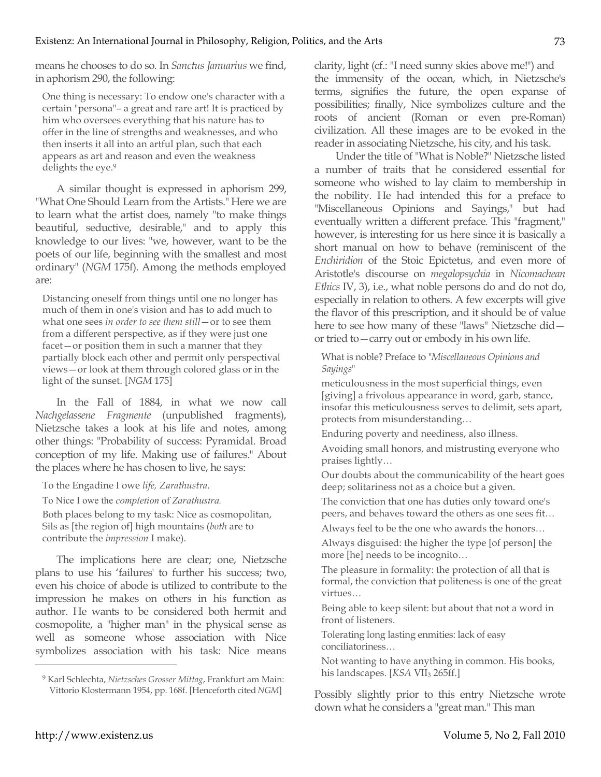means he chooses to do so. In *Sanctus Januarius* we find, in aphorism 290, the following:

One thing is necessary: To endow one's character with a certain "persona"– a great and rare art! It is practiced by him who oversees everything that his nature has to offer in the line of strengths and weaknesses, and who then inserts it all into an artful plan, such that each appears as art and reason and even the weakness delights the eye.<sup>9</sup>

A similar thought is expressed in aphorism 299, "What One Should Learn from the Artists." Here we are to learn what the artist does, namely "to make things beautiful, seductive, desirable," and to apply this knowledge to our lives: "we, however, want to be the poets of our life, beginning with the smallest and most ordinary" (*NGM* 175f). Among the methods employed are:

Distancing oneself from things until one no longer has much of them in one's vision and has to add much to what one sees *in order to see them still*—or to see them from a different perspective, as if they were just one facet—or position them in such a manner that they partially block each other and permit only perspectival views—or look at them through colored glass or in the light of the sunset. [*NGM* 175]

In the Fall of 1884, in what we now call *Nachgelassene Fragmente* (unpublished fragments), Nietzsche takes a look at his life and notes, among other things: "Probability of success: Pyramidal. Broad conception of my life. Making use of failures." About the places where he has chosen to live, he says:

To the Engadine I owe *life, Zarathustra*.

To Nice I owe the *completion* of *Zarathustra.*

Both places belong to my task: Nice as cosmopolitan, Sils as [the region of] high mountains (*both* are to contribute the *impression* I make).

The implications here are clear; one, Nietzsche plans to use his 'failures' to further his success; two, even his choice of abode is utilized to contribute to the impression he makes on others in his function as author. He wants to be considered both hermit and cosmopolite, a "higher man" in the physical sense as well as someone whose association with Nice symbolizes association with his task: Nice means

clarity, light (cf.: "I need sunny skies above me!") and the immensity of the ocean, which, in Nietzsche's terms, signifies the future, the open expanse of possibilities; finally, Nice symbolizes culture and the roots of ancient (Roman or even pre-Roman) civilization. All these images are to be evoked in the reader in associating Nietzsche, his city, and his task.

Under the title of "What is Noble?" Nietzsche listed a number of traits that he considered essential for someone who wished to lay claim to membership in the nobility. He had intended this for a preface to "Miscellaneous Opinions and Sayings," but had eventually written a different preface. This "fragment," however, is interesting for us here since it is basically a short manual on how to behave (reminiscent of the *Enchiridion* of the Stoic Epictetus, and even more of Aristotle's discourse on *megalopsychia* in *Nicomachean Ethics* IV, 3), i.e., what noble persons do and do not do, especially in relation to others. A few excerpts will give the flavor of this prescription, and it should be of value here to see how many of these "laws" Nietzsche did or tried to—carry out or embody in his own life.

What is noble? Preface to "*Miscellaneous Opinions and Sayings*"

meticulousness in the most superficial things, even [giving] a frivolous appearance in word, garb, stance, insofar this meticulousness serves to delimit, sets apart, protects from misunderstanding…

Enduring poverty and neediness, also illness.

Avoiding small honors, and mistrusting everyone who praises lightly…

Our doubts about the communicability of the heart goes deep; solitariness not as a choice but a given.

The conviction that one has duties only toward one's peers, and behaves toward the others as one sees fit…

Always feel to be the one who awards the honors…

Always disguised: the higher the type [of person] the more [he] needs to be incognito…

The pleasure in formality: the protection of all that is formal, the conviction that politeness is one of the great virtues…

Being able to keep silent: but about that not a word in front of listeners.

Tolerating long lasting enmities: lack of easy conciliatoriness…

Not wanting to have anything in common. His books, his landscapes. [*KSA* VII<sub>3</sub> 265ff.]

Possibly slightly prior to this entry Nietzsche wrote down what he considers a "great man." This man

<sup>9</sup> Karl Schlechta, *Nietzsches Grosser Mittag*, Frankfurt am Main: Vittorio Klostermann 1954, pp. 168f. [Henceforth cited *NGM*]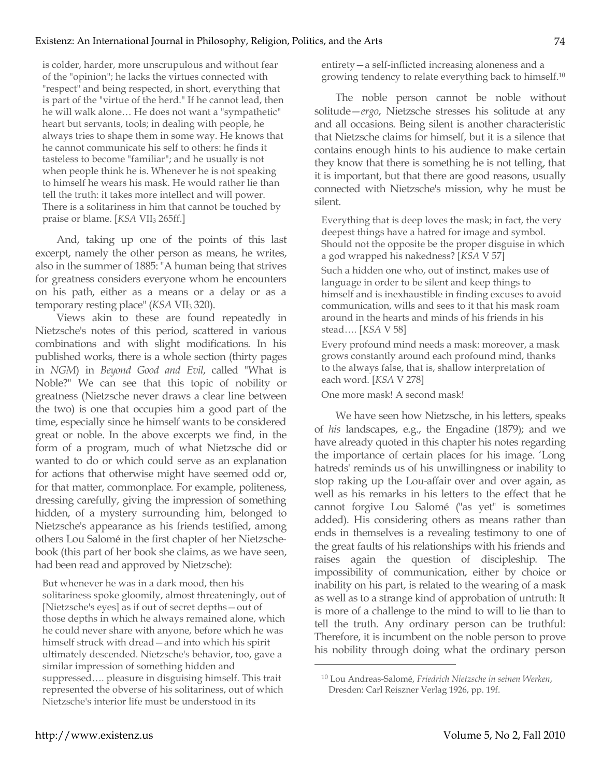is colder, harder, more unscrupulous and without fear of the "opinion"; he lacks the virtues connected with "respect" and being respected, in short, everything that is part of the "virtue of the herd." If he cannot lead, then he will walk alone… He does not want a "sympathetic" heart but servants, tools; in dealing with people, he always tries to shape them in some way. He knows that he cannot communicate his self to others: he finds it tasteless to become "familiar"; and he usually is not when people think he is. Whenever he is not speaking to himself he wears his mask. He would rather lie than tell the truth: it takes more intellect and will power. There is a solitariness in him that cannot be touched by praise or blame. [*KSA* VII<sub>3</sub> 265ff.]

And, taking up one of the points of this last excerpt, namely the other person as means, he writes, also in the summer of 1885: "A human being that strives for greatness considers everyone whom he encounters on his path, either as a means or a delay or as a temporary resting place" (*KSA* VII<sub>3</sub> 320).

Views akin to these are found repeatedly in Nietzsche's notes of this period, scattered in various combinations and with slight modifications. In his published works, there is a whole section (thirty pages in *NGM*) in *Beyond Good and Evil*, called "What is Noble?" We can see that this topic of nobility or greatness (Nietzsche never draws a clear line between the two) is one that occupies him a good part of the time, especially since he himself wants to be considered great or noble. In the above excerpts we find, in the form of a program, much of what Nietzsche did or wanted to do or which could serve as an explanation for actions that otherwise might have seemed odd or, for that matter, commonplace. For example, politeness, dressing carefully, giving the impression of something hidden, of a mystery surrounding him, belonged to Nietzsche's appearance as his friends testified, among others Lou Salomé in the first chapter of her Nietzschebook (this part of her book she claims, as we have seen, had been read and approved by Nietzsche):

But whenever he was in a dark mood, then his solitariness spoke gloomily, almost threateningly, out of [Nietzsche's eyes] as if out of secret depths—out of those depths in which he always remained alone, which he could never share with anyone, before which he was himself struck with dread—and into which his spirit ultimately descended. Nietzsche's behavior, too, gave a similar impression of something hidden and suppressed…. pleasure in disguising himself. This trait represented the obverse of his solitariness, out of which Nietzsche's interior life must be understood in its

entirety—a self-inflicted increasing aloneness and a growing tendency to relate everything back to himself.10

74

The noble person cannot be noble without solitude—*ergo*, Nietzsche stresses his solitude at any and all occasions. Being silent is another characteristic that Nietzsche claims for himself, but it is a silence that contains enough hints to his audience to make certain they know that there is something he is not telling, that it is important, but that there are good reasons, usually connected with Nietzsche's mission, why he must be silent.

Everything that is deep loves the mask; in fact, the very deepest things have a hatred for image and symbol. Should not the opposite be the proper disguise in which a god wrapped his nakedness? [*KSA* V 57]

Such a hidden one who, out of instinct, makes use of language in order to be silent and keep things to himself and is inexhaustible in finding excuses to avoid communication, wills and sees to it that his mask roam around in the hearts and minds of his friends in his stead…. [*KSA* V 58]

Every profound mind needs a mask: moreover, a mask grows constantly around each profound mind, thanks to the always false, that is, shallow interpretation of each word. [*KSA* V 278]

One more mask! A second mask!

We have seen how Nietzsche, in his letters, speaks of *his* landscapes, e.g., the Engadine (1879); and we have already quoted in this chapter his notes regarding the importance of certain places for his image. 'Long hatreds' reminds us of his unwillingness or inability to stop raking up the Lou-affair over and over again, as well as his remarks in his letters to the effect that he cannot forgive Lou Salomé ("as yet" is sometimes added). His considering others as means rather than ends in themselves is a revealing testimony to one of the great faults of his relationships with his friends and raises again the question of discipleship. The impossibility of communication, either by choice or inability on his part, is related to the wearing of a mask as well as to a strange kind of approbation of untruth: It is more of a challenge to the mind to will to lie than to tell the truth. Any ordinary person can be truthful: Therefore, it is incumbent on the noble person to prove his nobility through doing what the ordinary person

<sup>10</sup> Lou Andreas-Salomé, *Friedrich Nietzsche in seinen Werken*, Dresden: Carl Reiszner Verlag 1926, pp. 19f.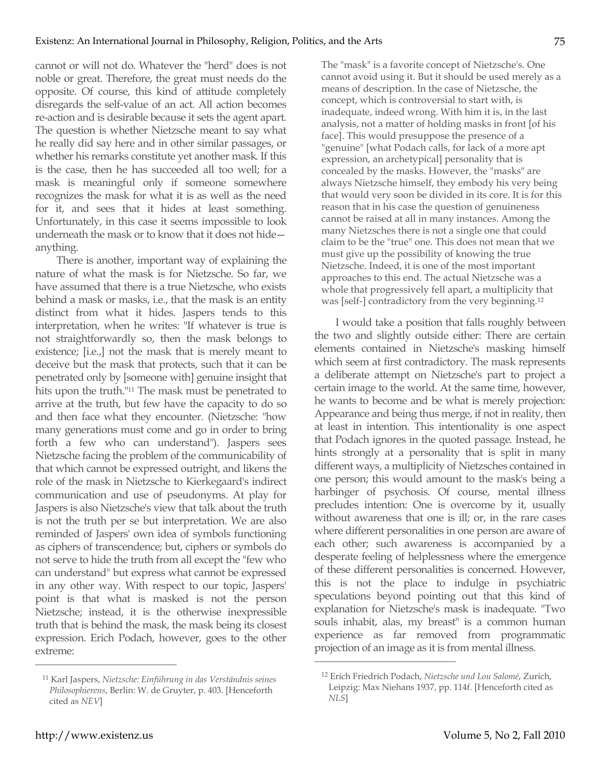cannot or will not do. Whatever the "herd" does is not noble or great. Therefore, the great must needs do the opposite. Of course, this kind of attitude completely disregards the self-value of an act. All action becomes re-action and is desirable because it sets the agent apart. The question is whether Nietzsche meant to say what he really did say here and in other similar passages, or whether his remarks constitute yet another mask. If this is the case, then he has succeeded all too well; for a mask is meaningful only if someone somewhere recognizes the mask for what it is as well as the need for it, and sees that it hides at least something. Unfortunately, in this case it seems impossible to look underneath the mask or to know that it does not hide anything.

There is another, important way of explaining the nature of what the mask is for Nietzsche. So far, we have assumed that there is a true Nietzsche, who exists behind a mask or masks, i.e., that the mask is an entity distinct from what it hides. Jaspers tends to this interpretation, when he writes: "If whatever is true is not straightforwardly so, then the mask belongs to existence; [i.e.,] not the mask that is merely meant to deceive but the mask that protects, such that it can be penetrated only by [someone with] genuine insight that hits upon the truth."11 The mask must be penetrated to arrive at the truth, but few have the capacity to do so and then face what they encounter. (Nietzsche: "how many generations must come and go in order to bring forth a few who can understand"). Jaspers sees Nietzsche facing the problem of the communicability of that which cannot be expressed outright, and likens the role of the mask in Nietzsche to Kierkegaard's indirect communication and use of pseudonyms. At play for Jaspers is also Nietzsche's view that talk about the truth is not the truth per se but interpretation. We are also reminded of Jaspers' own idea of symbols functioning as ciphers of transcendence; but, ciphers or symbols do not serve to hide the truth from all except the "few who can understand" but express what cannot be expressed in any other way. With respect to our topic, Jaspers' point is that what is masked is not the person Nietzsche; instead, it is the otherwise inexpressible truth that is behind the mask, the mask being its closest expression. Erich Podach, however, goes to the other extreme:

The "mask" is a favorite concept of Nietzsche's. One cannot avoid using it. But it should be used merely as a means of description. In the case of Nietzsche, the concept, which is controversial to start with, is inadequate, indeed wrong. With him it is, in the last analysis, not a matter of holding masks in front [of his face]. This would presuppose the presence of a "genuine" [what Podach calls, for lack of a more apt expression, an archetypical] personality that is concealed by the masks. However, the "masks" are always Nietzsche himself, they embody his very being that would very soon be divided in its core. It is for this reason that in his case the question of genuineness cannot be raised at all in many instances. Among the many Nietzsches there is not a single one that could claim to be the "true" one. This does not mean that we must give up the possibility of knowing the true Nietzsche. Indeed, it is one of the most important approaches to this end. The actual Nietzsche was a whole that progressively fell apart, a multiplicity that was [self-] contradictory from the very beginning.12

I would take a position that falls roughly between the two and slightly outside either: There are certain elements contained in Nietzsche's masking himself which seem at first contradictory. The mask represents a deliberate attempt on Nietzsche's part to project a certain image to the world. At the same time, however, he wants to become and be what is merely projection: Appearance and being thus merge, if not in reality, then at least in intention. This intentionality is one aspect that Podach ignores in the quoted passage. Instead, he hints strongly at a personality that is split in many different ways, a multiplicity of Nietzsches contained in one person; this would amount to the mask's being a harbinger of psychosis. Of course, mental illness precludes intention: One is overcome by it, usually without awareness that one is ill; or, in the rare cases where different personalities in one person are aware of each other; such awareness is accompanied by a desperate feeling of helplessness where the emergence of these different personalities is concerned. However, this is not the place to indulge in psychiatric speculations beyond pointing out that this kind of explanation for Nietzsche's mask is inadequate. "Two souls inhabit, alas, my breast" is a common human experience as far removed from programmatic projection of an image as it is from mental illness.

 $\overline{a}$ 

75

<sup>11</sup> Karl Jaspers, *Nietzsche: Einführung in das Verständnis seines Philosophierens*, Berlin: W. de Gruyter, p. 403. [Henceforth cited as *NEV*]

<sup>12</sup> Erich Friedrich Podach, *Nietzsche und Lou Salomé*, Zurich, Leipzig: Max Niehans 1937, pp. 114f. [Henceforth cited as *NLS*]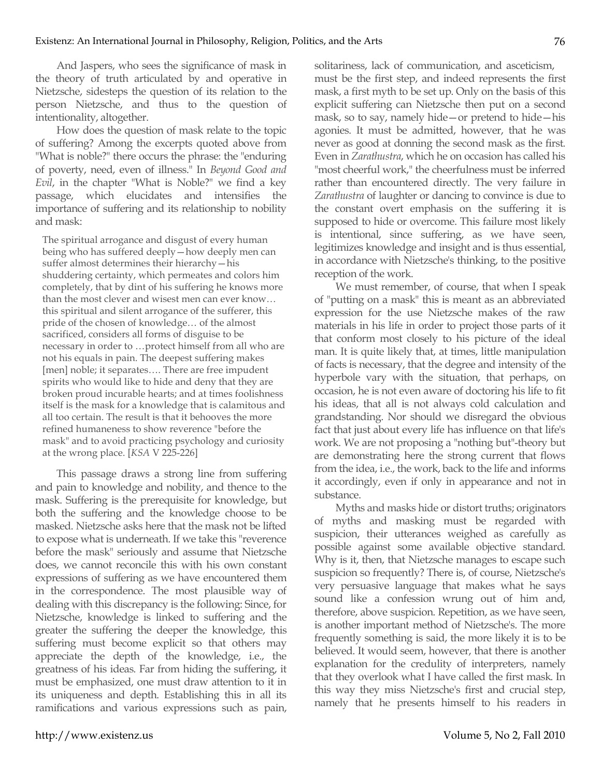And Jaspers, who sees the significance of mask in the theory of truth articulated by and operative in Nietzsche, sidesteps the question of its relation to the person Nietzsche, and thus to the question of intentionality, altogether.

How does the question of mask relate to the topic of suffering? Among the excerpts quoted above from "What is noble?" there occurs the phrase: the "enduring of poverty, need, even of illness." In *Beyond Good and Evil*, in the chapter "What is Noble?" we find a key passage, which elucidates and intensifies the importance of suffering and its relationship to nobility and mask:

The spiritual arrogance and disgust of every human being who has suffered deeply—how deeply men can suffer almost determines their hierarchy—his shuddering certainty, which permeates and colors him completely, that by dint of his suffering he knows more than the most clever and wisest men can ever know… this spiritual and silent arrogance of the sufferer, this pride of the chosen of knowledge… of the almost sacrificed, considers all forms of disguise to be necessary in order to …protect himself from all who are not his equals in pain. The deepest suffering makes [men] noble; it separates.... There are free impudent spirits who would like to hide and deny that they are broken proud incurable hearts; and at times foolishness itself is the mask for a knowledge that is calamitous and all too certain. The result is that it behooves the more refined humaneness to show reverence "before the mask" and to avoid practicing psychology and curiosity at the wrong place. [*KSA* V 225-226]

This passage draws a strong line from suffering and pain to knowledge and nobility, and thence to the mask. Suffering is the prerequisite for knowledge, but both the suffering and the knowledge choose to be masked. Nietzsche asks here that the mask not be lifted to expose what is underneath. If we take this "reverence before the mask" seriously and assume that Nietzsche does, we cannot reconcile this with his own constant expressions of suffering as we have encountered them in the correspondence. The most plausible way of dealing with this discrepancy is the following: Since, for Nietzsche, knowledge is linked to suffering and the greater the suffering the deeper the knowledge, this suffering must become explicit so that others may appreciate the depth of the knowledge, i.e., the greatness of his ideas. Far from hiding the suffering, it must be emphasized, one must draw attention to it in its uniqueness and depth. Establishing this in all its ramifications and various expressions such as pain, solitariness, lack of communication, and asceticism, must be the first step, and indeed represents the first mask, a first myth to be set up. Only on the basis of this explicit suffering can Nietzsche then put on a second mask, so to say, namely hide—or pretend to hide—his agonies. It must be admitted, however, that he was never as good at donning the second mask as the first. Even in *Zarathustra*, which he on occasion has called his "most cheerful work," the cheerfulness must be inferred rather than encountered directly. The very failure in *Zarathustra* of laughter or dancing to convince is due to the constant overt emphasis on the suffering it is supposed to hide or overcome. This failure most likely is intentional, since suffering, as we have seen, legitimizes knowledge and insight and is thus essential, in accordance with Nietzsche's thinking, to the positive reception of the work.

We must remember, of course, that when I speak of "putting on a mask" this is meant as an abbreviated expression for the use Nietzsche makes of the raw materials in his life in order to project those parts of it that conform most closely to his picture of the ideal man. It is quite likely that, at times, little manipulation of facts is necessary, that the degree and intensity of the hyperbole vary with the situation, that perhaps, on occasion, he is not even aware of doctoring his life to fit his ideas, that all is not always cold calculation and grandstanding. Nor should we disregard the obvious fact that just about every life has influence on that life's work. We are not proposing a "nothing but"-theory but are demonstrating here the strong current that flows from the idea, i.e., the work, back to the life and informs it accordingly, even if only in appearance and not in substance.

Myths and masks hide or distort truths; originators of myths and masking must be regarded with suspicion, their utterances weighed as carefully as possible against some available objective standard. Why is it, then, that Nietzsche manages to escape such suspicion so frequently? There is, of course, Nietzsche's very persuasive language that makes what he says sound like a confession wrung out of him and, therefore, above suspicion. Repetition, as we have seen, is another important method of Nietzsche's. The more frequently something is said, the more likely it is to be believed. It would seem, however, that there is another explanation for the credulity of interpreters, namely that they overlook what I have called the first mask. In this way they miss Nietzsche's first and crucial step, namely that he presents himself to his readers in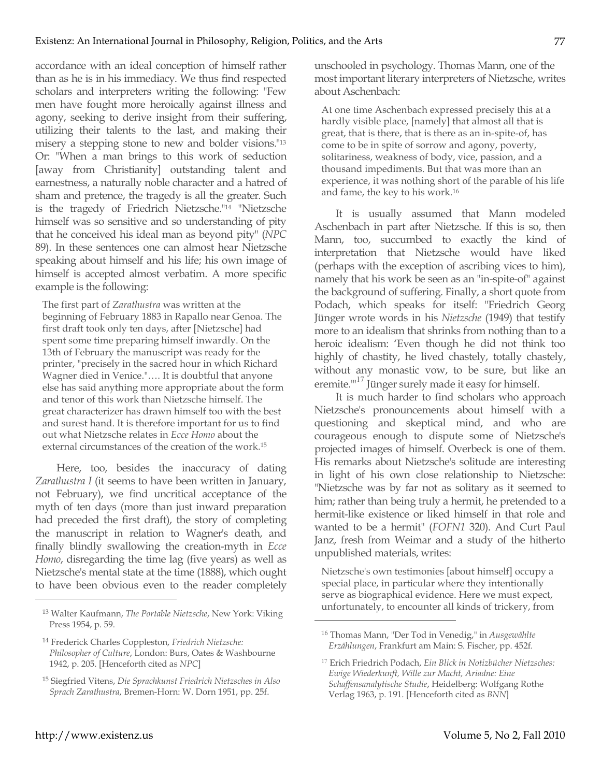accordance with an ideal conception of himself rather than as he is in his immediacy. We thus find respected scholars and interpreters writing the following: "Few men have fought more heroically against illness and agony, seeking to derive insight from their suffering, utilizing their talents to the last, and making their misery a stepping stone to new and bolder visions."13 Or: "When a man brings to this work of seduction [away from Christianity] outstanding talent and earnestness, a naturally noble character and a hatred of sham and pretence, the tragedy is all the greater. Such is the tragedy of Friedrich Nietzsche."14 "Nietzsche himself was so sensitive and so understanding of pity that he conceived his ideal man as beyond pity" (*NPC* 89). In these sentences one can almost hear Nietzsche speaking about himself and his life; his own image of himself is accepted almost verbatim. A more specific example is the following:

The first part of *Zarathustra* was written at the beginning of February 1883 in Rapallo near Genoa. The first draft took only ten days, after [Nietzsche] had spent some time preparing himself inwardly. On the 13th of February the manuscript was ready for the printer, "precisely in the sacred hour in which Richard Wagner died in Venice."…. It is doubtful that anyone else has said anything more appropriate about the form and tenor of this work than Nietzsche himself. The great characterizer has drawn himself too with the best and surest hand. It is therefore important for us to find out what Nietzsche relates in *Ecce Homo* about the external circumstances of the creation of the work.15

Here, too, besides the inaccuracy of dating *Zarathustra I* (it seems to have been written in January, not February), we find uncritical acceptance of the myth of ten days (more than just inward preparation had preceded the first draft), the story of completing the manuscript in relation to Wagner's death, and finally blindly swallowing the creation-myth in *Ecce Homo*, disregarding the time lag (five years) as well as Nietzsche's mental state at the time (1888), which ought to have been obvious even to the reader completely unschooled in psychology. Thomas Mann, one of the most important literary interpreters of Nietzsche, writes about Aschenbach:

At one time Aschenbach expressed precisely this at a hardly visible place, [namely] that almost all that is great, that is there, that is there as an in-spite-of, has come to be in spite of sorrow and agony, poverty, solitariness, weakness of body, vice, passion, and a thousand impediments. But that was more than an experience, it was nothing short of the parable of his life and fame, the key to his work.16

It is usually assumed that Mann modeled Aschenbach in part after Nietzsche. If this is so, then Mann, too, succumbed to exactly the kind of interpretation that Nietzsche would have liked (perhaps with the exception of ascribing vices to him), namely that his work be seen as an "in-spite-of" against the background of suffering. Finally, a short quote from Podach, which speaks for itself: "Friedrich Georg Jünger wrote words in his *Nietzsche* (1949) that testify more to an idealism that shrinks from nothing than to a heroic idealism: 'Even though he did not think too highly of chastity, he lived chastely, totally chastely, without any monastic vow, to be sure, but like an eremite."<sup>17</sup> Jünger surely made it easy for himself.

It is much harder to find scholars who approach Nietzsche's pronouncements about himself with a questioning and skeptical mind, and who are courageous enough to dispute some of Nietzsche's projected images of himself. Overbeck is one of them. His remarks about Nietzsche's solitude are interesting in light of his own close relationship to Nietzsche: "Nietzsche was by far not as solitary as it seemed to him; rather than being truly a hermit, he pretended to a hermit-like existence or liked himself in that role and wanted to be a hermit" (*FOFN1* 320). And Curt Paul Janz, fresh from Weimar and a study of the hitherto unpublished materials, writes:

Nietzsche's own testimonies [about himself] occupy a special place, in particular where they intentionally serve as biographical evidence. Here we must expect, unfortunately, to encounter all kinds of trickery, from

 $\overline{a}$ 

<sup>13</sup> Walter Kaufmann, *The Portable Nietzsche*, New York: Viking Press 1954, p. 59.

<sup>14</sup> Frederick Charles Coppleston, *Friedrich Nietzsche: Philosopher of Culture*, London: Burs, Oates & Washbourne 1942, p. 205. [Henceforth cited as *NPC*]

<sup>15</sup> Siegfried Vitens, *Die Sprachkunst Friedrich Nietzsches in Also Sprach Zarathustra*, Bremen-Horn: W. Dorn 1951, pp. 25f.

<sup>16</sup> Thomas Mann, "Der Tod in Venedig," in *Ausgewählte Erzählungen*, Frankfurt am Main: S. Fischer, pp. 452f*.*

<sup>17</sup> Erich Friedrich Podach, *Ein Blick in Notizbücher Nietzsches: Ewige Wiederkunft, Wille zur Macht, Ariadne: Eine Schaffensanalytische Studie*, Heidelberg: Wolfgang Rothe Verlag 1963, p. 191. [Henceforth cited as *BNN*]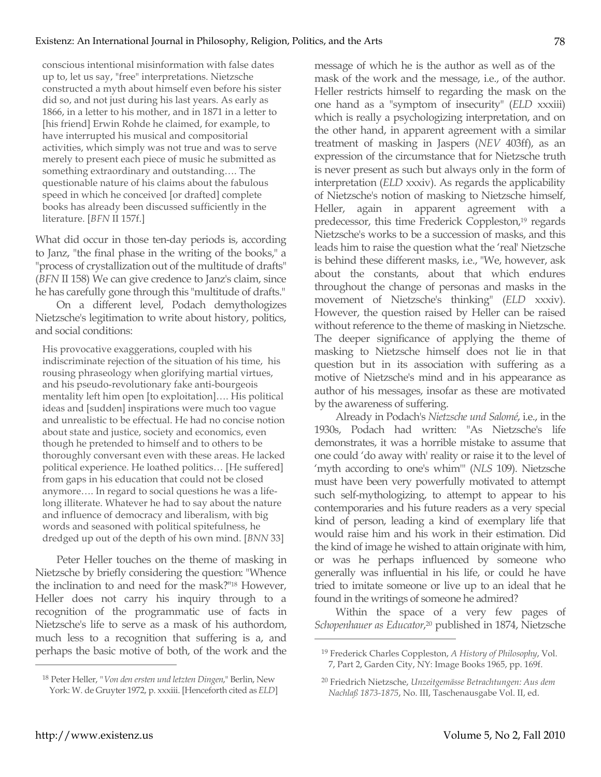conscious intentional misinformation with false dates up to, let us say, "free" interpretations. Nietzsche constructed a myth about himself even before his sister did so, and not just during his last years. As early as 1866, in a letter to his mother, and in 1871 in a letter to [his friend] Erwin Rohde he claimed, for example, to have interrupted his musical and compositorial activities, which simply was not true and was to serve merely to present each piece of music he submitted as something extraordinary and outstanding…. The questionable nature of his claims about the fabulous speed in which he conceived [or drafted] complete books has already been discussed sufficiently in the literature. [*BFN* II 157f.]

What did occur in those ten-day periods is, according to Janz, "the final phase in the writing of the books," a "process of crystallization out of the multitude of drafts" (*BFN* II 158) We can give credence to Janz's claim, since he has carefully gone through this "multitude of drafts."

On a different level, Podach demythologizes Nietzsche's legitimation to write about history, politics, and social conditions:

His provocative exaggerations, coupled with his indiscriminate rejection of the situation of his time, his rousing phraseology when glorifying martial virtues, and his pseudo-revolutionary fake anti-bourgeois mentality left him open [to exploitation]…. His political ideas and [sudden] inspirations were much too vague and unrealistic to be effectual. He had no concise notion about state and justice, society and economics, even though he pretended to himself and to others to be thoroughly conversant even with these areas. He lacked political experience. He loathed politics… [He suffered] from gaps in his education that could not be closed anymore…. In regard to social questions he was a lifelong illiterate. Whatever he had to say about the nature and influence of democracy and liberalism, with big words and seasoned with political spitefulness, he dredged up out of the depth of his own mind. [*BNN* 33]

Peter Heller touches on the theme of masking in Nietzsche by briefly considering the question: "Whence the inclination to and need for the mask?"18 However, Heller does not carry his inquiry through to a recognition of the programmatic use of facts in Nietzsche's life to serve as a mask of his authordom, much less to a recognition that suffering is a, and perhaps the basic motive of both, of the work and the

message of which he is the author as well as of the mask of the work and the message, i.e., of the author. Heller restricts himself to regarding the mask on the one hand as a "symptom of insecurity" (*ELD* xxxiii) which is really a psychologizing interpretation, and on the other hand, in apparent agreement with a similar treatment of masking in Jaspers (*NEV* 403ff), as an expression of the circumstance that for Nietzsche truth is never present as such but always only in the form of interpretation (*ELD* xxxiv). As regards the applicability of Nietzsche's notion of masking to Nietzsche himself, Heller, again in apparent agreement with a predecessor, this time Frederick Coppleston,<sup>19</sup> regards Nietzsche's works to be a succession of masks, and this leads him to raise the question what the 'real' Nietzsche is behind these different masks, i.e., "We, however, ask about the constants, about that which endures throughout the change of personas and masks in the movement of Nietzsche's thinking" (*ELD* xxxiv). However, the question raised by Heller can be raised without reference to the theme of masking in Nietzsche. The deeper significance of applying the theme of masking to Nietzsche himself does not lie in that question but in its association with suffering as a motive of Nietzsche's mind and in his appearance as author of his messages, insofar as these are motivated by the awareness of suffering.

Already in Podach's *Nietzsche und Salomé*, i.e., in the 1930s, Podach had written: "As Nietzsche's life demonstrates, it was a horrible mistake to assume that one could 'do away with' reality or raise it to the level of 'myth according to one's whim'" (*NLS* 109). Nietzsche must have been very powerfully motivated to attempt such self-mythologizing, to attempt to appear to his contemporaries and his future readers as a very special kind of person, leading a kind of exemplary life that would raise him and his work in their estimation. Did the kind of image he wished to attain originate with him, or was he perhaps influenced by someone who generally was influential in his life, or could he have tried to imitate someone or live up to an ideal that he found in the writings of someone he admired?

Within the space of a very few pages of *Schopenhauer as Educator*, <sup>20</sup> published in 1874, Nietzsche

 $\overline{a}$ 

<sup>18</sup> Peter Heller, *"Von den ersten und letzten Dingen*," Berlin, New York: W. de Gruyter 1972, p. xxxiii. [Henceforth cited as *ELD*]

<sup>19</sup> Frederick Charles Coppleston, *A History of Philosophy*, Vol. 7, Part 2, Garden City, NY: Image Books 1965, pp. 169f.

<sup>20</sup> Friedrich Nietzsche, *Unzeitgemässe Betrachtungen: Aus dem Nachlaß 1873-1875*, No. III, Taschenausgabe Vol. II, ed.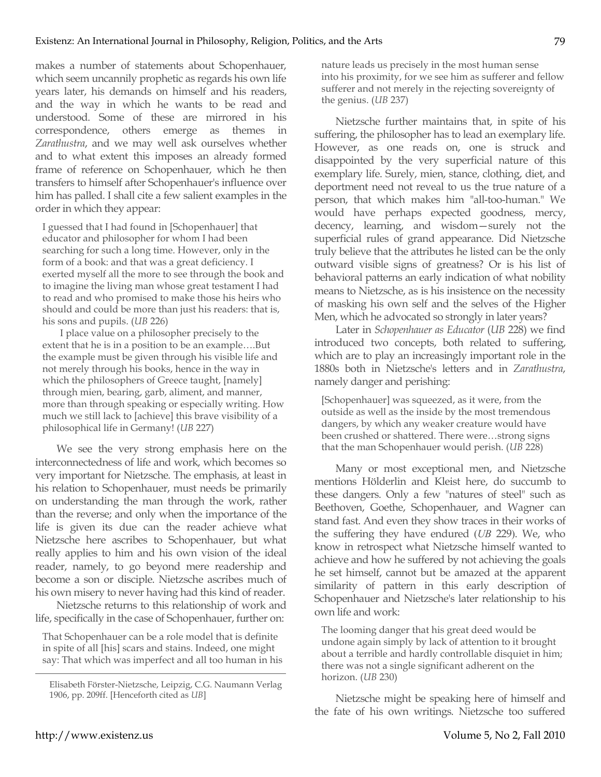makes a number of statements about Schopenhauer, which seem uncannily prophetic as regards his own life years later, his demands on himself and his readers, and the way in which he wants to be read and understood. Some of these are mirrored in his correspondence, others emerge as themes in *Zarathustra*, and we may well ask ourselves whether and to what extent this imposes an already formed frame of reference on Schopenhauer, which he then transfers to himself after Schopenhauer's influence over him has palled. I shall cite a few salient examples in the order in which they appear:

I guessed that I had found in [Schopenhauer] that educator and philosopher for whom I had been searching for such a long time. However, only in the form of a book: and that was a great deficiency. I exerted myself all the more to see through the book and to imagine the living man whose great testament I had to read and who promised to make those his heirs who should and could be more than just his readers: that is, his sons and pupils. (*UB* 226)

I place value on a philosopher precisely to the extent that he is in a position to be an example….But the example must be given through his visible life and not merely through his books, hence in the way in which the philosophers of Greece taught, [namely] through mien, bearing, garb, aliment, and manner, more than through speaking or especially writing. How much we still lack to [achieve] this brave visibility of a philosophical life in Germany! (*UB* 227)

We see the very strong emphasis here on the interconnectedness of life and work, which becomes so very important for Nietzsche. The emphasis, at least in his relation to Schopenhauer, must needs be primarily on understanding the man through the work, rather than the reverse; and only when the importance of the life is given its due can the reader achieve what Nietzsche here ascribes to Schopenhauer, but what really applies to him and his own vision of the ideal reader, namely, to go beyond mere readership and become a son or disciple. Nietzsche ascribes much of his own misery to never having had this kind of reader.

Nietzsche returns to this relationship of work and life, specifically in the case of Schopenhauer, further on:

That Schopenhauer can be a role model that is definite in spite of all [his] scars and stains. Indeed, one might say: That which was imperfect and all too human in his nature leads us precisely in the most human sense into his proximity, for we see him as sufferer and fellow sufferer and not merely in the rejecting sovereignty of the genius. (*UB* 237)

Nietzsche further maintains that, in spite of his suffering, the philosopher has to lead an exemplary life. However, as one reads on, one is struck and disappointed by the very superficial nature of this exemplary life. Surely, mien, stance, clothing, diet, and deportment need not reveal to us the true nature of a person, that which makes him "all-too-human." We would have perhaps expected goodness, mercy, decency, learning, and wisdom—surely not the superficial rules of grand appearance. Did Nietzsche truly believe that the attributes he listed can be the only outward visible signs of greatness? Or is his list of behavioral patterns an early indication of what nobility means to Nietzsche, as is his insistence on the necessity of masking his own self and the selves of the Higher Men, which he advocated so strongly in later years?

Later in *Schopenhauer as Educator* (*UB* 228) we find introduced two concepts, both related to suffering, which are to play an increasingly important role in the 1880s both in Nietzsche's letters and in *Zarathustra*, namely danger and perishing:

[Schopenhauer] was squeezed, as it were, from the outside as well as the inside by the most tremendous dangers, by which any weaker creature would have been crushed or shattered. There were…strong signs that the man Schopenhauer would perish. (*UB* 228)

Many or most exceptional men, and Nietzsche mentions Hölderlin and Kleist here, do succumb to these dangers. Only a few "natures of steel" such as Beethoven, Goethe, Schopenhauer, and Wagner can stand fast. And even they show traces in their works of the suffering they have endured (*UB* 229). We, who know in retrospect what Nietzsche himself wanted to achieve and how he suffered by not achieving the goals he set himself, cannot but be amazed at the apparent similarity of pattern in this early description of Schopenhauer and Nietzsche's later relationship to his own life and work:

The looming danger that his great deed would be undone again simply by lack of attention to it brought about a terrible and hardly controllable disquiet in him; there was not a single significant adherent on the horizon. (*UB* 230)

Nietzsche might be speaking here of himself and the fate of his own writings. Nietzsche too suffered

Elisabeth Förster-Nietzsche, Leipzig, C.G. Naumann Verlag 1906, pp. 209ff. [Henceforth cited as *UB*]